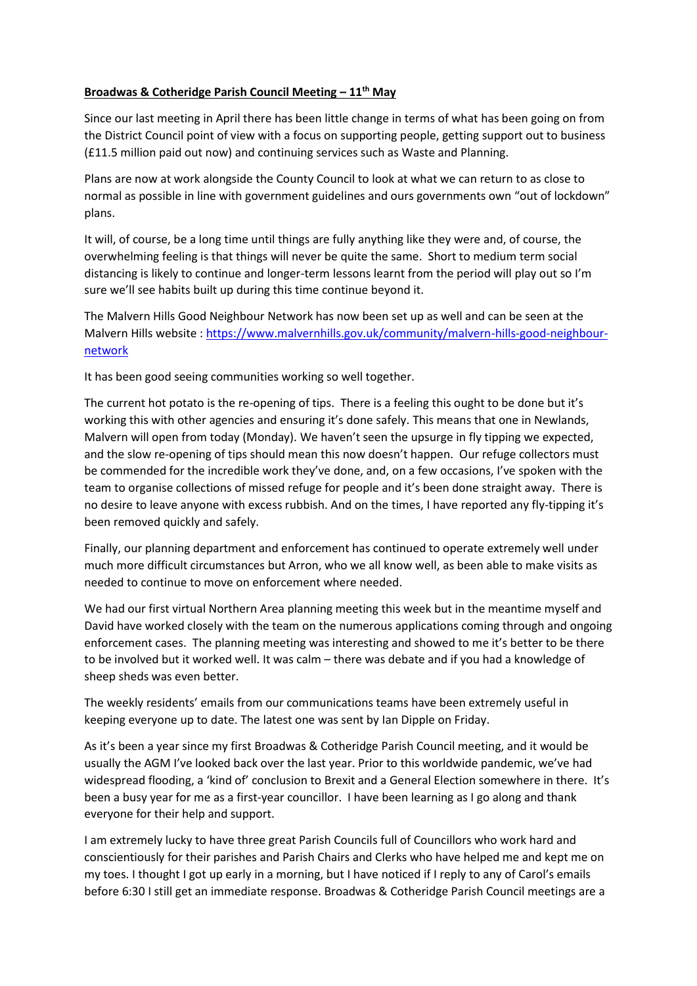## **Broadwas & Cotheridge Parish Council Meeting – 11th May**

Since our last meeting in April there has been little change in terms of what has been going on from the District Council point of view with a focus on supporting people, getting support out to business (£11.5 million paid out now) and continuing services such as Waste and Planning.

Plans are now at work alongside the County Council to look at what we can return to as close to normal as possible in line with government guidelines and ours governments own "out of lockdown" plans.

It will, of course, be a long time until things are fully anything like they were and, of course, the overwhelming feeling is that things will never be quite the same. Short to medium term social distancing is likely to continue and longer-term lessons learnt from the period will play out so I'm sure we'll see habits built up during this time continue beyond it.

The Malvern Hills Good Neighbour Network has now been set up as well and can be seen at the Malvern Hills website : [https://www.malvernhills.gov.uk/community/malvern-hills-good-neighbour](https://www.malvernhills.gov.uk/community/malvern-hills-good-neighbour-network)[network](https://www.malvernhills.gov.uk/community/malvern-hills-good-neighbour-network)

It has been good seeing communities working so well together.

The current hot potato is the re-opening of tips. There is a feeling this ought to be done but it's working this with other agencies and ensuring it's done safely. This means that one in Newlands, Malvern will open from today (Monday). We haven't seen the upsurge in fly tipping we expected, and the slow re-opening of tips should mean this now doesn't happen. Our refuge collectors must be commended for the incredible work they've done, and, on a few occasions, I've spoken with the team to organise collections of missed refuge for people and it's been done straight away. There is no desire to leave anyone with excess rubbish. And on the times, I have reported any fly-tipping it's been removed quickly and safely.

Finally, our planning department and enforcement has continued to operate extremely well under much more difficult circumstances but Arron, who we all know well, as been able to make visits as needed to continue to move on enforcement where needed.

We had our first virtual Northern Area planning meeting this week but in the meantime myself and David have worked closely with the team on the numerous applications coming through and ongoing enforcement cases. The planning meeting was interesting and showed to me it's better to be there to be involved but it worked well. It was calm – there was debate and if you had a knowledge of sheep sheds was even better.

The weekly residents' emails from our communications teams have been extremely useful in keeping everyone up to date. The latest one was sent by Ian Dipple on Friday.

As it's been a year since my first Broadwas & Cotheridge Parish Council meeting, and it would be usually the AGM I've looked back over the last year. Prior to this worldwide pandemic, we've had widespread flooding, a 'kind of' conclusion to Brexit and a General Election somewhere in there. It's been a busy year for me as a first-year councillor. I have been learning as I go along and thank everyone for their help and support.

I am extremely lucky to have three great Parish Councils full of Councillors who work hard and conscientiously for their parishes and Parish Chairs and Clerks who have helped me and kept me on my toes. I thought I got up early in a morning, but I have noticed if I reply to any of Carol's emails before 6:30 I still get an immediate response. Broadwas & Cotheridge Parish Council meetings are a